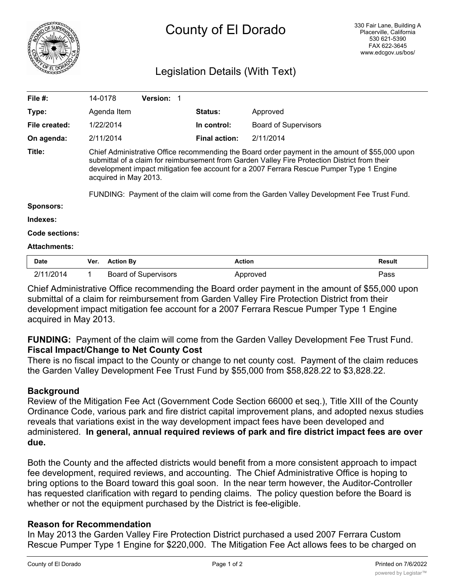

# Legislation Details (With Text)

| File $#$ :          | 14-0178                                                                                                                                                                                                                                                                                                                                                                                                             | <b>Version: 1</b> |                      |                             |               |
|---------------------|---------------------------------------------------------------------------------------------------------------------------------------------------------------------------------------------------------------------------------------------------------------------------------------------------------------------------------------------------------------------------------------------------------------------|-------------------|----------------------|-----------------------------|---------------|
| Type:               | Agenda Item                                                                                                                                                                                                                                                                                                                                                                                                         |                   | <b>Status:</b>       | Approved                    |               |
| File created:       | 1/22/2014                                                                                                                                                                                                                                                                                                                                                                                                           |                   | In control:          | <b>Board of Supervisors</b> |               |
| On agenda:          | 2/11/2014                                                                                                                                                                                                                                                                                                                                                                                                           |                   | <b>Final action:</b> | 2/11/2014                   |               |
| Title:              | Chief Administrative Office recommending the Board order payment in the amount of \$55,000 upon<br>submittal of a claim for reimbursement from Garden Valley Fire Protection District from their<br>development impact mitigation fee account for a 2007 Ferrara Rescue Pumper Type 1 Engine<br>acquired in May 2013.<br>FUNDING: Payment of the claim will come from the Garden Valley Development Fee Trust Fund. |                   |                      |                             |               |
| <b>Sponsors:</b>    |                                                                                                                                                                                                                                                                                                                                                                                                                     |                   |                      |                             |               |
| Indexes:            |                                                                                                                                                                                                                                                                                                                                                                                                                     |                   |                      |                             |               |
| Code sections:      |                                                                                                                                                                                                                                                                                                                                                                                                                     |                   |                      |                             |               |
| <b>Attachments:</b> |                                                                                                                                                                                                                                                                                                                                                                                                                     |                   |                      |                             |               |
| <b>Date</b>         | <b>Action By</b><br>Ver.                                                                                                                                                                                                                                                                                                                                                                                            |                   | <b>Action</b>        |                             | <b>Result</b> |

Chief Administrative Office recommending the Board order payment in the amount of \$55,000 upon submittal of a claim for reimbursement from Garden Valley Fire Protection District from their development impact mitigation fee account for a 2007 Ferrara Rescue Pumper Type 1 Engine acquired in May 2013.

2/11/2014 1 Board of Supervisors **Approved Pass Pass** 

## **FUNDING:** Payment of the claim will come from the Garden Valley Development Fee Trust Fund. **Fiscal Impact/Change to Net County Cost**

There is no fiscal impact to the County or change to net county cost. Payment of the claim reduces the Garden Valley Development Fee Trust Fund by \$55,000 from \$58,828.22 to \$3,828.22.

## **Background**

Review of the Mitigation Fee Act (Government Code Section 66000 et seq.), Title XIII of the County Ordinance Code, various park and fire district capital improvement plans, and adopted nexus studies reveals that variations exist in the way development impact fees have been developed and administered. **In general, annual required reviews of park and fire district impact fees are over due.**

Both the County and the affected districts would benefit from a more consistent approach to impact fee development, required reviews, and accounting. The Chief Administrative Office is hoping to bring options to the Board toward this goal soon. In the near term however, the Auditor-Controller has requested clarification with regard to pending claims. The policy question before the Board is whether or not the equipment purchased by the District is fee-eligible.

#### **Reason for Recommendation**

In May 2013 the Garden Valley Fire Protection District purchased a used 2007 Ferrara Custom Rescue Pumper Type 1 Engine for \$220,000. The Mitigation Fee Act allows fees to be charged on